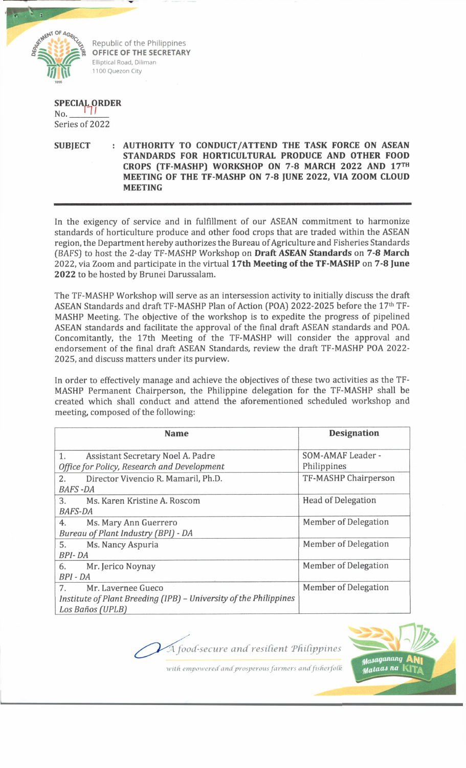

Republic of the Philippines **OFFICE OF THE SECRETARY** Elliptical Road, Diliman 1100 Quezon City

## **SPECIAL ORDER**<br>No. \_\_\_\_\_\_\_\_\_\_\_\_\_ *I*

Series of 2022

## **SUBJECT : AUTHORITY TO CONDUCT/ATTEND THE TASK FORCE ON ASEAN STANDARDS FOR HORTICULTURAL PRODUCE AND OTHER FOOD CROPS (TF-MASHP) WORKSHOP ON 7-8 MARCH 2022 AND 17™ MEETING OF THE TF-MASHP ON 7-8 JUNE 2022, VIA ZOOM CLOUD MEETING**

In the exigency of service and in fulfillment of our ASEAN commitment to harmonize standards of horticulture produce and other food crops that are traded within the ASEAN region, the Department hereby authorizes the Bureau of Agriculture and Fisheries Standards *(BAFSJ* to host the 2-day TF-MASHP Workshop on **Draft** *ASEAN* **Standards** on **7-8 March** 2022, via Zoom and participate in the virtual **17th Meeting of the TF-MASHP** on **7-8 June 2022** to be hosted by Brunei Darussalam.

The TF-MASHP Workshop will serve as an intersession activity to initially discuss the draft ASEAN Standards and draft TF-MASHP Plan of Action (POA) 2022-2025 before the 17<sup>th</sup> TF-MASHP Meeting. The objective of the workshop is to expedite the progress of pipelined ASEAN standards and facilitate the approval of the final draft ASEAN standards and POA. Concomitantly, the 17th Meeting of the TF-MASHP will consider the approval and endorsement of the final draft ASEAN Standards, review the draft TF-MASHP POA 2022- 2025, and discuss matters under its purview.

In order to effectively manage and achieve the objectives of these two activities as the TF-MASHP Permanent Chairperson, the Philippine delegation for the TF-MASHP shall be created which shall conduct and attend the aforementioned scheduled workshop and meeting, composed of the following:

| <b>Name</b>                                                       | <b>Designation</b>        |
|-------------------------------------------------------------------|---------------------------|
| Assistant Secretary Noel A. Padre<br>1.                           | SOM-AMAF Leader -         |
| Office for Policy, Research and Development                       | Philippines               |
| Director Vivencio R. Mamaril, Ph.D.<br>2.                         | TF-MASHP Chairperson      |
| <b>BAFS-DA</b>                                                    |                           |
| 3.<br>Ms. Karen Kristine A. Roscom                                | <b>Head of Delegation</b> |
| <b>BAFS-DA</b>                                                    |                           |
| 4.<br>Ms. Mary Ann Guerrero                                       | Member of Delegation      |
| Bureau of Plant Industry (BPI) - DA                               |                           |
| 5.<br>Ms. Nancy Aspuria                                           | Member of Delegation      |
| BPI-DA                                                            |                           |
| Mr. Jerico Noynay<br>6.                                           | Member of Delegation      |
| BPI - DA                                                          |                           |
| Mr. Lavernee Gueco<br>7.                                          | Member of Delegation      |
| Institute of Plant Breeding (IPB) - University of the Philippines |                           |
| Los Baños (UPLB)                                                  |                           |



with empowered and prosperous farmers and fisherfolk

A food-secure and resilient Philippines